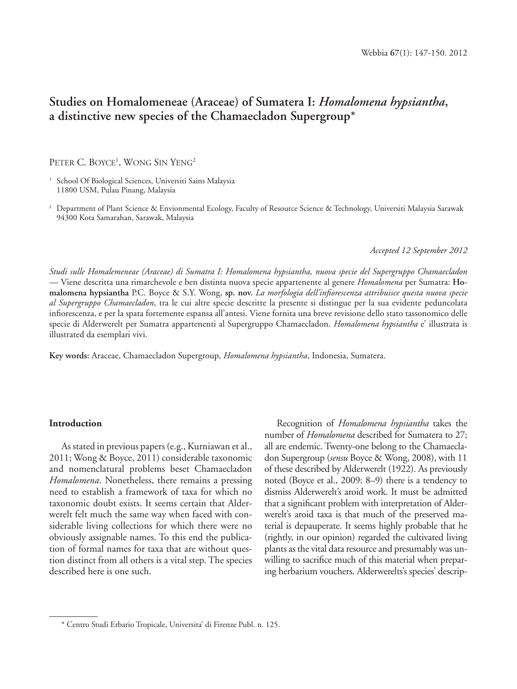# **Studies on Homalomeneae (Araceae) of Sumatera I:** *Homalomena hypsiantha***, a distinctive new species of the Chamaecladon Supergroup\***

PETER C. BOYCE<sup>1</sup>, WONG SIN YENG<sup>2</sup>

<sup>1</sup> School Of Biological Sciences, Universiti Sains Malaysia 11800 USM, Pulau Pinang, Malaysia

<sup>2</sup> Department of Plant Science & Envionmental Ecology, Faculty of Resource Science & Technology, Universiti Malaysia Sarawak 94300 Kota Samarahan, Sarawak, Malaysia

#### *Accepted 12 September 2012*

*Studi sulle Homalemeneae (Araceae) di Sumatra I: Homalomena hypsiantha, nuova specie del Supergruppo Chamaecladon —* Viene descritta una rimarchevole e ben distinta nuova specie appartenente al genere *Homalomena* per Sumatra: **Homalomena hypsiantha** P.C. Boyce & S.Y. Wong, **sp. nov.** *La morfologia dell'infi orescenza attribuisce questa nuova specie al Supergruppo Chamaecladon*, tra le cui altre specie descritte la presente si distingue per la sua evidente peduncolata infiorescenza, e per la spata fortemente espansa all'antesi. Viene fornita una breve revisione dello stato tassonomico delle specie di Alderwerelt per Sumatra appartenenti al Supergruppo Chamaecladon. *Homalomena hypsiantha* e' illustrata is illustrated da esemplari vivi.

**Key words:** Araceae, Chamaecladon Supergroup, *Homalomena hypsiantha*, Indonesia, Sumatera.

## **Introduction**

As stated in previous papers (e.g., Kurniawan et al., 2011; Wong & Boyce, 2011) considerable taxonomic and nomenclatural problems beset Chamaecladon *Homalomena*. Nonetheless, there remains a pressing need to establish a framework of taxa for which no taxonomic doubt exists. It seems certain that Alderwerelt felt much the same way when faced with considerable living collections for which there were no obviously assignable names. To this end the publication of formal names for taxa that are without question distinct from all others is a vital step. The species described here is one such.

Recognition of *Homalomena hypsiantha* takes the number of *Homalomena* described for Sumatera to 27; all are endemic. Twenty-one belong to the Chamaecladon Supergroup (*sensu* Boyce & Wong, 2008), with 11 of these described by Alderwerelt (1922). As previously noted (Boyce et al., 2009: 8–9) there is a tendency to dismiss Alderwerelt's aroid work. It must be admitted that a significant problem with interpretation of Alderwerelt's aroid taxa is that much of the preserved material is depauperate. It seems highly probable that he (rightly, in our opinion) regarded the cultivated living plants as the vital data resource and presumably was unwilling to sacrifice much of this material when preparing herbarium vouchers. Alderwerelts's species' descrip-

<sup>\*</sup> Centro Studi Erbario Tropicale, Universita' di Firenze Publ. n. 125.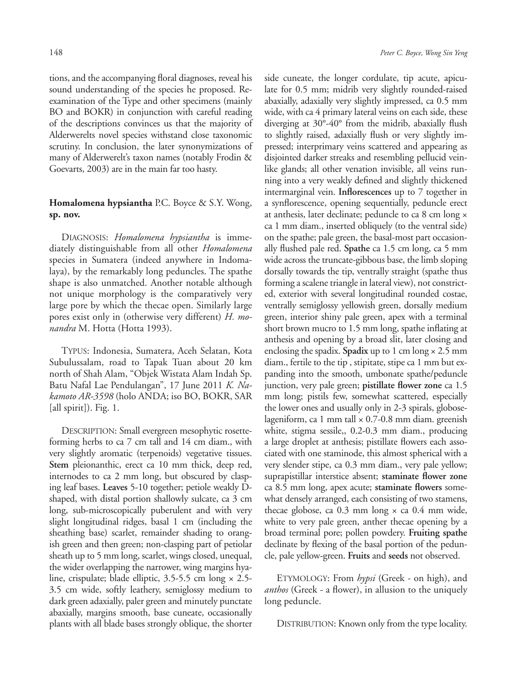tions, and the accompanying floral diagnoses, reveal his sound understanding of the species he proposed. Reexamination of the Type and other specimens (mainly BO and BOKR) in conjunction with careful reading of the descriptions convinces us that the majority of Alderwerelts novel species withstand close taxonomic scrutiny. In conclusion, the later synonymizations of many of Alderwerelt's taxon names (notably Frodin & Goevarts, 2003) are in the main far too hasty.

# **Homalomena hypsiantha** P.C. Boyce & S.Y. Wong, **sp. nov.**

DIAGNOSIS: *Homalomena hypsiantha* is immediately distinguishable from all other *Homalomena* species in Sumatera (indeed anywhere in Indomalaya), by the remarkably long peduncles. The spathe shape is also unmatched. Another notable although not unique morphology is the comparatively very large pore by which the thecae open. Similarly large pores exist only in (otherwise very different) *H. monandra* M. Hotta (Hotta 1993).

TYPUS: Indonesia, Sumatera, Aceh Selatan, Kota Subulussalam, road to Tapak Tuan about 20 km north of Shah Alam, "Objek Wistata Alam Indah Sp. Batu Nafal Lae Pendulangan", 17 June 2011 *K. Nakamoto AR-3598* (holo ANDA; iso BO, BOKR, SAR [all spirit]). Fig. 1.

DESCRIPTION: Small evergreen mesophytic rosetteforming herbs to ca 7 cm tall and 14 cm diam., with very slightly aromatic (terpenoids) vegetative tissues. **Stem** pleionanthic, erect ca 10 mm thick, deep red, internodes to ca 2 mm long, but obscured by clasping leaf bases. **Leaves** 5-10 together; petiole weakly Dshaped, with distal portion shallowly sulcate, ca 3 cm long, sub-microscopically puberulent and with very slight longitudinal ridges, basal 1 cm (including the sheathing base) scarlet, remainder shading to orangish green and then green; non-clasping part of petiolar sheath up to 5 mm long, scarlet, wings closed, unequal, the wider overlapping the narrower, wing margins hyaline, crispulate; blade elliptic, 3.5-5.5 cm long × 2.5- 3.5 cm wide, softly leathery, semiglossy medium to dark green adaxially, paler green and minutely punctate abaxially, margins smooth, base cuneate, occasionally plants with all blade bases strongly oblique, the shorter

side cuneate, the longer cordulate, tip acute, apiculate for 0.5 mm; midrib very slightly rounded-raised abaxially, adaxially very slightly impressed, ca 0.5 mm wide, with ca 4 primary lateral veins on each side, these diverging at  $30^{\circ}$ -40° from the midrib, abaxially flush to slightly raised, adaxially flush or very slightly impressed; interprimary veins scattered and appearing as disjointed darker streaks and resembling pellucid veinlike glands; all other venation invisible, all veins running into a very weakly defined and slightly thickened intermarginal vein. Inflorescences up to 7 together in a synflorescence, opening sequentially, peduncle erect at anthesis, later declinate; peduncle to ca 8 cm long × ca 1 mm diam., inserted obliquely (to the ventral side) on the spathe; pale green, the basal-most part occasionally flushed pale red. Spathe ca 1.5 cm long, ca 5 mm wide across the truncate-gibbous base, the limb sloping dorsally towards the tip, ventrally straight (spathe thus forming a scalene triangle in lateral view), not constricted, exterior with several longitudinal rounded costae, ventrally semiglossy yellowish green, dorsally medium green, interior shiny pale green, apex with a terminal short brown mucro to 1.5 mm long, spathe inflating at anthesis and opening by a broad slit, later closing and enclosing the spadix. **Spadix** up to 1 cm long × 2.5 mm diam., fertile to the tip , stipitate, stipe ca 1 mm but expanding into the smooth, umbonate spathe/peduncle junction, very pale green; pistillate flower zone ca 1.5 mm long; pistils few, somewhat scattered, especially the lower ones and usually only in 2-3 spirals, globoselageniform, ca 1 mm tall  $\times$  0.7-0.8 mm diam. greenish white, stigma sessile,, 0.2-0.3 mm diam., producing a large droplet at anthesis; pistillate flowers each associated with one staminode, this almost spherical with a very slender stipe, ca 0.3 mm diam., very pale yellow; suprapistillar interstice absent; staminate flower zone ca 8.5 mm long, apex acute; staminate flowers somewhat densely arranged, each consisting of two stamens, thecae globose, ca  $0.3$  mm long  $\times$  ca  $0.4$  mm wide, white to very pale green, anther thecae opening by a broad terminal pore; pollen powdery. **Fruiting spathe**  declinate by flexing of the basal portion of the peduncle, pale yellow-green. **Fruits** and **seeds** not observed.

ETYMOLOGY: From *hypsi* (Greek - on high), and *anthos* (Greek - a flower), in allusion to the uniquely long peduncle.

DISTRIBUTION: Known only from the type locality.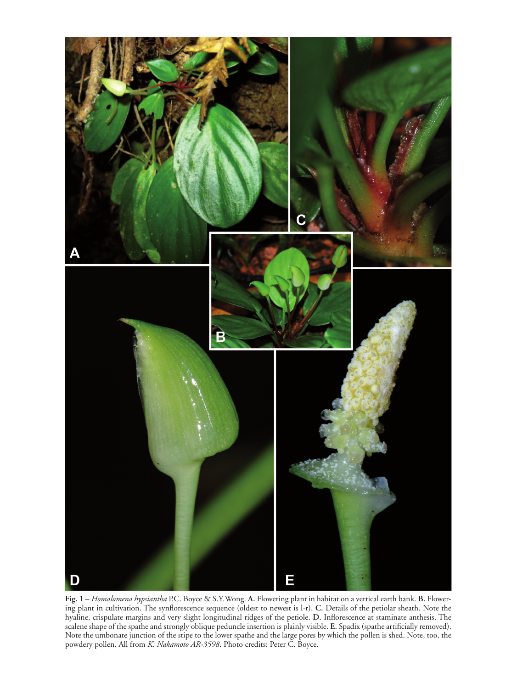

**Fig. 1** – *Homalomena hypsiantha* P.C. Boyce & S.Y.Wong. **A.** Flowering plant in habitat on a vertical earth bank. **B.** Flowering plant in cultivation. The synflorescence sequence (oldest to newest is l-r). C. Details of the petiolar sheath. Note the hyaline, crispulate margins and very slight longitudinal ridges of the petiole. D. Inflorescence at staminate anthesis. The scalene shape of the spathe and strongly oblique peduncle insertion is plainly visible. E. Spadix (spathe artificially removed). Note the umbonate junction of the stipe to the lower spathe and the large pores by which the pollen is shed. Note, too, the powdery pollen. All from *K. Nakamoto AR-3598*. Photo credits: Peter C. Boyce.